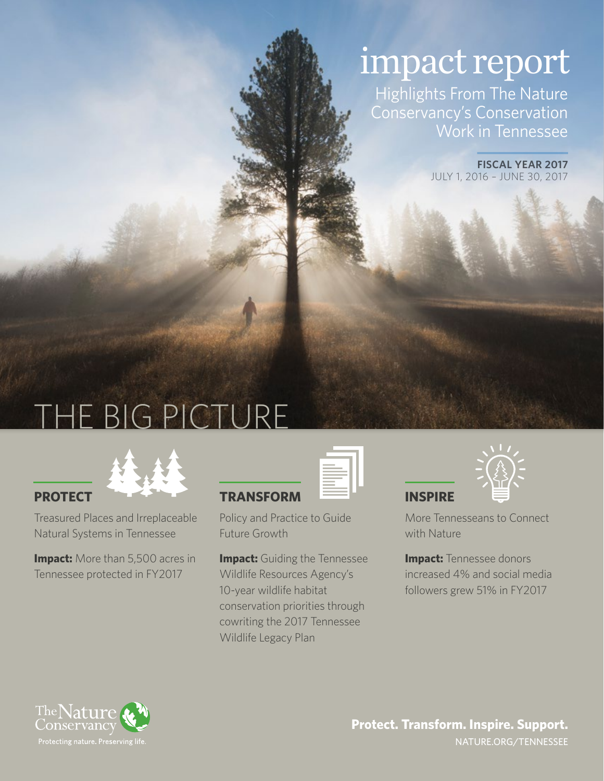# impact report

Highlights From The Nature Conservancy's Conservation Work in Tennessee

> **FISCAL YEAR 2017**  JULY 1, 2016 – JUNE 30, 2017

# THE BIG PICTURE



Treasured Places and Irreplaceable Natural Systems in Tennessee

**Impact:** More than 5,500 acres in Tennessee protected in FY2017

| <b>TRANSFORM</b> |  |
|------------------|--|

Policy and Practice to Guide Future Growth

**Impact:** Guiding the Tennessee Wildlife Resources Agency's 10-year wildlife habitat conservation priorities through cowriting the 2017 Tennessee Wildlife Legacy Plan



More Tennesseans to Connect with Nature

**INSPIRE** 

**Impact: Tennessee donors** increased 4% and social media followers grew 51% in FY2017

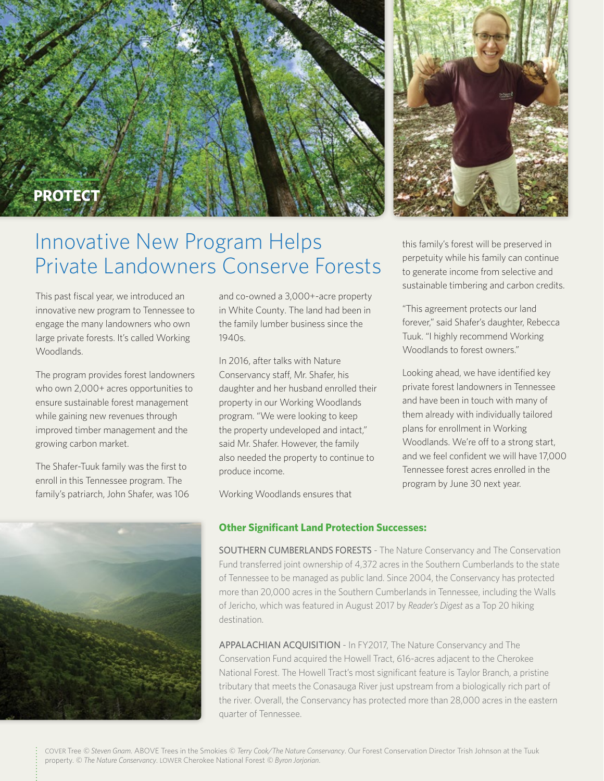



## Innovative New Program Helps Private Landowners Conserve Forests

This past fiscal year, we introduced an innovative new program to Tennessee to engage the many landowners who own large private forests. It's called Working Woodlands.

The program provides forest landowners who own 2,000+ acres opportunities to ensure sustainable forest management while gaining new revenues through improved timber management and the growing carbon market.

The Shafer-Tuuk family was the first to enroll in this Tennessee program. The family's patriarch, John Shafer, was 106



and co-owned a 3,000+-acre property in White County. The land had been in the family lumber business since the 1940s.

In 2016, after talks with Nature Conservancy staff, Mr. Shafer, his daughter and her husband enrolled their property in our Working Woodlands program. "We were looking to keep the property undeveloped and intact," said Mr. Shafer. However, the family also needed the property to continue to produce income.

Working Woodlands ensures that

### **Other Significant Land Protection Successes:**

SOUTHERN CUMBERLANDS FORESTS - The Nature Conservancy and The Conservation Fund transferred joint ownership of 4,372 acres in the Southern Cumberlands to the state of Tennessee to be managed as public land. Since 2004, the Conservancy has protected more than 20,000 acres in the Southern Cumberlands in Tennessee, including the Walls of Jericho, which was featured in August 2017 by *Reader's Digest* as a Top 20 hiking destination.

APPALACHIAN ACQUISITION - In FY2017, The Nature Conservancy and The Conservation Fund acquired the Howell Tract, 616-acres adjacent to the Cherokee National Forest. The Howell Tract's most significant feature is Taylor Branch, a pristine tributary that meets the Conasauga River just upstream from a biologically rich part of the river. Overall, the Conservancy has protected more than 28,000 acres in the eastern quarter of Tennessee.

this family's forest will be preserved in perpetuity while his family can continue to generate income from selective and sustainable timbering and carbon credits.

"This agreement protects our land forever," said Shafer's daughter, Rebecca Tuuk. "I highly recommend Working Woodlands to forest owners."

Looking ahead, we have identified key private forest landowners in Tennessee and have been in touch with many of them already with individually tailored plans for enrollment in Working Woodlands. We're off to a strong start, and we feel confident we will have 17,000 Tennessee forest acres enrolled in the program by June 30 next year.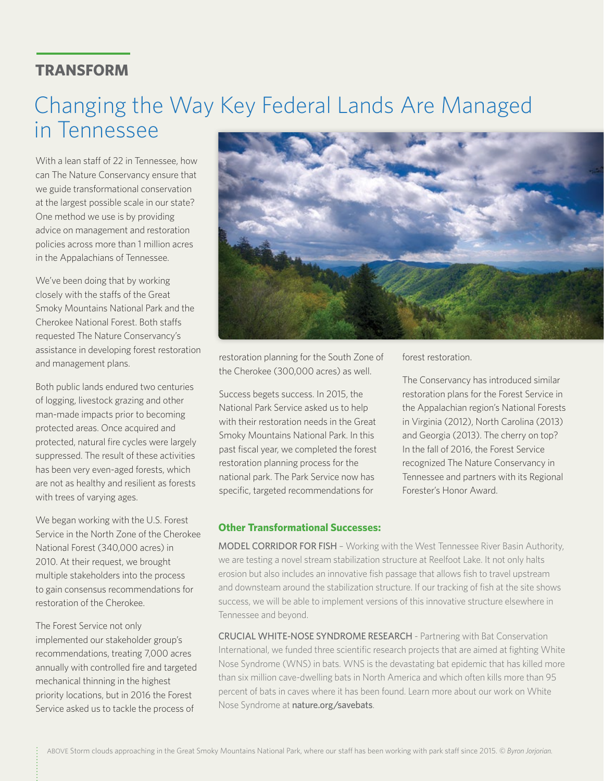#### **TRANSFORM**

## Changing the Way Key Federal Lands Are Managed in Tennessee

With a lean staff of 22 in Tennessee, how can The Nature Conservancy ensure that we guide transformational conservation at the largest possible scale in our state? One method we use is by providing advice on management and restoration policies across more than 1 million acres in the Appalachians of Tennessee.

We've been doing that by working closely with the staffs of the Great Smoky Mountains National Park and the Cherokee National Forest. Both staffs requested The Nature Conservancy's assistance in developing forest restoration and management plans.

Both public lands endured two centuries of logging, livestock grazing and other man-made impacts prior to becoming protected areas. Once acquired and protected, natural fire cycles were largely suppressed. The result of these activities has been very even-aged forests, which are not as healthy and resilient as forests with trees of varying ages.

We began working with the U.S. Forest Service in the North Zone of the Cherokee National Forest (340,000 acres) in 2010. At their request, we brought multiple stakeholders into the process to gain consensus recommendations for restoration of the Cherokee.

The Forest Service not only implemented our stakeholder group's recommendations, treating 7,000 acres annually with controlled fire and targeted mechanical thinning in the highest priority locations, but in 2016 the Forest Service asked us to tackle the process of



restoration planning for the South Zone of the Cherokee (300,000 acres) as well.

Success begets success. In 2015, the National Park Service asked us to help with their restoration needs in the Great Smoky Mountains National Park. In this past fiscal year, we completed the forest restoration planning process for the national park. The Park Service now has specific, targeted recommendations for

**Other Transformational Successes:**

forest restoration.

The Conservancy has introduced similar restoration plans for the Forest Service in the Appalachian region's National Forests in Virginia (2012), North Carolina (2013) and Georgia (2013). The cherry on top? In the fall of 2016, the Forest Service recognized The Nature Conservancy in Tennessee and partners with its Regional Forester's Honor Award.

MODEL CORRIDOR FOR FISH – Working with the West Tennessee River Basin Authority, we are testing a novel stream stabilization structure at Reelfoot Lake. It not only halts erosion but also includes an innovative fish passage that allows fish to travel upstream and downsteam around the stabilization structure. If our tracking of fish at the site shows success, we will be able to implement versions of this innovative structure elsewhere in Tennessee and beyond.

CRUCIAL WHITE-NOSE SYNDROME RESEARCH - Partnering with Bat Conservation International, we funded three scientific research projects that are aimed at fighting White Nose Syndrome (WNS) in bats. WNS is the devastating bat epidemic that has killed more than six million cave-dwelling bats in North America and which often kills more than 95 percent of bats in caves where it has been found. Learn more about our work on White Nose Syndrome at nature.org/savebats.